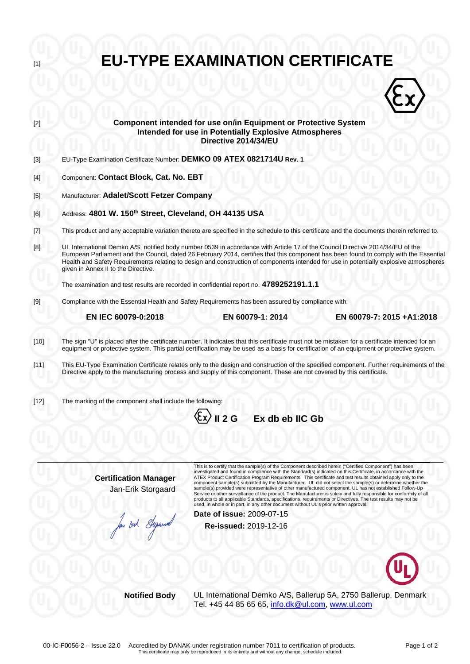| $[1]$                                                                                                                                                                                              |                                                                                                                                                                                                                                                                                                                                                                                                                                                           | <b>EU-TYPE EXAMINATION CERTIFICATE</b>                                                                                                                                                                                                                                                                                                                                                                                                                                                                                                                                                                                                                                                                                                                                                        |  |
|----------------------------------------------------------------------------------------------------------------------------------------------------------------------------------------------------|-----------------------------------------------------------------------------------------------------------------------------------------------------------------------------------------------------------------------------------------------------------------------------------------------------------------------------------------------------------------------------------------------------------------------------------------------------------|-----------------------------------------------------------------------------------------------------------------------------------------------------------------------------------------------------------------------------------------------------------------------------------------------------------------------------------------------------------------------------------------------------------------------------------------------------------------------------------------------------------------------------------------------------------------------------------------------------------------------------------------------------------------------------------------------------------------------------------------------------------------------------------------------|--|
|                                                                                                                                                                                                    |                                                                                                                                                                                                                                                                                                                                                                                                                                                           |                                                                                                                                                                                                                                                                                                                                                                                                                                                                                                                                                                                                                                                                                                                                                                                               |  |
| $[2]$                                                                                                                                                                                              | Component intended for use on/in Equipment or Protective System<br><b>Intended for use in Potentially Explosive Atmospheres</b><br>Directive 2014/34/EU                                                                                                                                                                                                                                                                                                   |                                                                                                                                                                                                                                                                                                                                                                                                                                                                                                                                                                                                                                                                                                                                                                                               |  |
| $[3]$                                                                                                                                                                                              | EU-Type Examination Certificate Number: DEMKO 09 ATEX 0821714U Rev. 1                                                                                                                                                                                                                                                                                                                                                                                     |                                                                                                                                                                                                                                                                                                                                                                                                                                                                                                                                                                                                                                                                                                                                                                                               |  |
| $[4]$                                                                                                                                                                                              | Component: Contact Block, Cat. No. EBT                                                                                                                                                                                                                                                                                                                                                                                                                    |                                                                                                                                                                                                                                                                                                                                                                                                                                                                                                                                                                                                                                                                                                                                                                                               |  |
| $[5]$                                                                                                                                                                                              | Manufacturer: Adalet/Scott Fetzer Company                                                                                                                                                                                                                                                                                                                                                                                                                 |                                                                                                                                                                                                                                                                                                                                                                                                                                                                                                                                                                                                                                                                                                                                                                                               |  |
| [6]                                                                                                                                                                                                | Address: 4801 W. 150 <sup>th</sup> Street, Cleveland, OH 44135 USA                                                                                                                                                                                                                                                                                                                                                                                        |                                                                                                                                                                                                                                                                                                                                                                                                                                                                                                                                                                                                                                                                                                                                                                                               |  |
| $[7] \centering% \includegraphics[width=1\textwidth]{images/TransY.pdf} \caption{The first two different values of $d=3$ and $d=4$ (left) and $d=5$ (right) and $d=6$ (right).} \label{fig:class}$ | This product and any acceptable variation thereto are specified in the schedule to this certificate and the documents therein referred to.                                                                                                                                                                                                                                                                                                                |                                                                                                                                                                                                                                                                                                                                                                                                                                                                                                                                                                                                                                                                                                                                                                                               |  |
| [8]                                                                                                                                                                                                | UL International Demko A/S, notified body number 0539 in accordance with Article 17 of the Council Directive 2014/34/EU of the<br>European Parliament and the Council, dated 26 February 2014, certifies that this component has been found to comply with the Essential<br>Health and Safety Requirements relating to design and construction of components intended for use in potentially explosive atmospheres<br>given in Annex II to the Directive. |                                                                                                                                                                                                                                                                                                                                                                                                                                                                                                                                                                                                                                                                                                                                                                                               |  |
|                                                                                                                                                                                                    | The examination and test results are recorded in confidential report no. 4789252191.1.1                                                                                                                                                                                                                                                                                                                                                                   |                                                                                                                                                                                                                                                                                                                                                                                                                                                                                                                                                                                                                                                                                                                                                                                               |  |
| $[9]$                                                                                                                                                                                              |                                                                                                                                                                                                                                                                                                                                                                                                                                                           | Compliance with the Essential Health and Safety Requirements has been assured by compliance with:                                                                                                                                                                                                                                                                                                                                                                                                                                                                                                                                                                                                                                                                                             |  |
|                                                                                                                                                                                                    | EN IEC 60079-0:2018                                                                                                                                                                                                                                                                                                                                                                                                                                       | EN 60079-1: 2014<br>EN 60079-7: 2015 +A1:2018                                                                                                                                                                                                                                                                                                                                                                                                                                                                                                                                                                                                                                                                                                                                                 |  |
| $[10]$                                                                                                                                                                                             | The sign "U" is placed after the certificate number. It indicates that this certificate must not be mistaken for a certificate intended for an<br>equipment or protective system. This partial certification may be used as a basis for certification of an equipment or protective system.                                                                                                                                                               |                                                                                                                                                                                                                                                                                                                                                                                                                                                                                                                                                                                                                                                                                                                                                                                               |  |
| $[11]$                                                                                                                                                                                             | This EU-Type Examination Certificate relates only to the design and construction of the specified component. Further requirements of the<br>Directive apply to the manufacturing process and supply of this component. These are not covered by this certificate.                                                                                                                                                                                         |                                                                                                                                                                                                                                                                                                                                                                                                                                                                                                                                                                                                                                                                                                                                                                                               |  |
| $[12]$                                                                                                                                                                                             | The marking of the component shall include the following:                                                                                                                                                                                                                                                                                                                                                                                                 | $\langle \xi$ x $\rangle$ II 2 G<br>Ex db eb IIC Gb                                                                                                                                                                                                                                                                                                                                                                                                                                                                                                                                                                                                                                                                                                                                           |  |
|                                                                                                                                                                                                    |                                                                                                                                                                                                                                                                                                                                                                                                                                                           | This is to certify that the sample(s) of the Component described herein ("Certified Component") has been                                                                                                                                                                                                                                                                                                                                                                                                                                                                                                                                                                                                                                                                                      |  |
|                                                                                                                                                                                                    | <b>Certification Manager</b><br>Jan-Erik Storgaard                                                                                                                                                                                                                                                                                                                                                                                                        | investigated and found in compliance with the Standard(s) indicated on this Certificate, in accordance with the<br>ATEX Product Certification Program Requirements. This certificate and test results obtained apply only to the<br>component sample(s) submitted by the Manufacturer. UL did not select the sample(s) or determine whether the<br>sample(s) provided were representative of other manufactured component. UL has not established Follow-Up<br>Service or other surveillance of the product. The Manufacturer is solely and fully responsible for conformity of all<br>products to all applicable Standards, specifications, requirements or Directives. The test results may not be<br>used, in whole or in part, in any other document without UL's prior written approval. |  |
|                                                                                                                                                                                                    | But Super                                                                                                                                                                                                                                                                                                                                                                                                                                                 | Date of issue: 2009-07-15<br>Re-issued: 2019-12-16                                                                                                                                                                                                                                                                                                                                                                                                                                                                                                                                                                                                                                                                                                                                            |  |
|                                                                                                                                                                                                    |                                                                                                                                                                                                                                                                                                                                                                                                                                                           |                                                                                                                                                                                                                                                                                                                                                                                                                                                                                                                                                                                                                                                                                                                                                                                               |  |
|                                                                                                                                                                                                    |                                                                                                                                                                                                                                                                                                                                                                                                                                                           |                                                                                                                                                                                                                                                                                                                                                                                                                                                                                                                                                                                                                                                                                                                                                                                               |  |
|                                                                                                                                                                                                    | <b>Notified Body</b>                                                                                                                                                                                                                                                                                                                                                                                                                                      | UL International Demko A/S, Ballerup 5A, 2750 Ballerup, Denmark<br>Tel. +45 44 85 65 65, info.dk@ul.com, www.ul.com                                                                                                                                                                                                                                                                                                                                                                                                                                                                                                                                                                                                                                                                           |  |